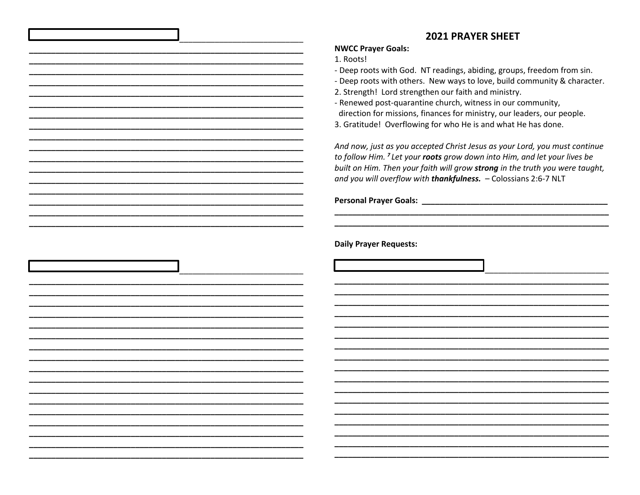## **2021 PRAYER SHEET**

## **NWCC Prayer Goals:**

1. Roots!

- Deep roots with God. NT readings, abiding, groups, freedom from sin.

- Deep roots with others. New ways to love, build community & character.

2. Strength! Lord strengthen our faith and ministry.

- Renewed post-quarantine church, witness in our community, direction for missions, finances for ministry, our leaders, our people.

3. Gratitude! Overflowing for who He is and what He has done.

And now, just as you accepted Christ Jesus as your Lord, you must continue to follow Him. <sup>7</sup> Let your roots grow down into Him, and let your lives be built on Him. Then your faith will grow strong in the truth you were taught, and you will overflow with thankfulness. - Colossians 2:6-7 NLT

Personal Prayer Goals: New York State State State State State State State State State State State State State State State State State State State State State State State State State State State State State State State Stat

**Daily Prayer Requests:**